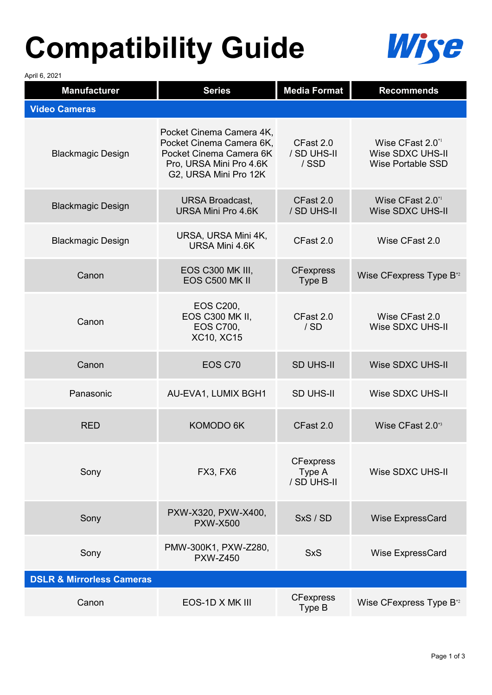## **Compatibility Guide**



April 6, 2021

| <b>Manufacturer</b>                  | <b>Series</b>                                                                                                                       | <b>Media Format</b>                       | <b>Recommends</b>                                                            |
|--------------------------------------|-------------------------------------------------------------------------------------------------------------------------------------|-------------------------------------------|------------------------------------------------------------------------------|
| <b>Video Cameras</b>                 |                                                                                                                                     |                                           |                                                                              |
| <b>Blackmagic Design</b>             | Pocket Cinema Camera 4K,<br>Pocket Cinema Camera 6K,<br>Pocket Cinema Camera 6K<br>Pro, URSA Mini Pro 4.6K<br>G2, URSA Mini Pro 12K | CFast 2.0<br>/ SD UHS-II<br>/SSD          | Wise CFast 2.0 <sup>*1</sup><br>Wise SDXC UHS-II<br><b>Wise Portable SSD</b> |
| <b>Blackmagic Design</b>             | <b>URSA Broadcast,</b><br>URSA Mini Pro 4.6K                                                                                        | CFast 2.0<br>/ SD UHS-II                  | Wise CFast 2.0 <sup>*1</sup><br><b>Wise SDXC UHS-II</b>                      |
| <b>Blackmagic Design</b>             | URSA, URSA Mini 4K,<br>URSA Mini 4.6K                                                                                               | CFast 2.0                                 | Wise CFast 2.0                                                               |
| Canon                                | EOS C300 MK III,<br>EOS C500 MK II                                                                                                  | <b>CFexpress</b><br>Type B                | Wise CFexpress Type B <sup>*2</sup>                                          |
| Canon                                | <b>EOS C200,</b><br><b>EOS C300 MK II,</b><br><b>EOS C700,</b><br><b>XC10, XC15</b>                                                 | CFast 2.0<br>/SD                          | Wise CFast 2.0<br>Wise SDXC UHS-II                                           |
| Canon                                | EOS C70                                                                                                                             | <b>SD UHS-II</b>                          | Wise SDXC UHS-II                                                             |
| Panasonic                            | AU-EVA1, LUMIX BGH1                                                                                                                 | <b>SD UHS-II</b>                          | Wise SDXC UHS-II                                                             |
| <b>RED</b>                           | KOMODO 6K                                                                                                                           | CFast 2.0                                 | Wise CFast 2.0 <sup>*3</sup>                                                 |
| Sony                                 | FX3, FX6                                                                                                                            | <b>CFexpress</b><br>Type A<br>/ SD UHS-II | Wise SDXC UHS-II                                                             |
| Sony                                 | PXW-X320, PXW-X400,<br><b>PXW-X500</b>                                                                                              | SxS / SD                                  | Wise ExpressCard                                                             |
| Sony                                 | PMW-300K1, PXW-Z280,<br><b>PXW-Z450</b>                                                                                             | <b>SxS</b>                                | Wise ExpressCard                                                             |
| <b>DSLR &amp; Mirrorless Cameras</b> |                                                                                                                                     |                                           |                                                                              |
| Canon                                | EOS-1D X MK III                                                                                                                     | <b>CFexpress</b><br>Type B                | Wise CFexpress Type B <sup>*2</sup>                                          |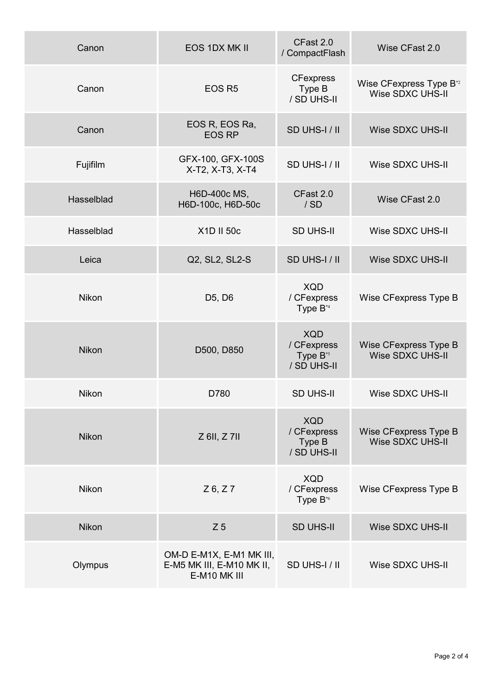| Canon        | EOS 1DX MK II                                                         | CFast 2.0<br>/ CompactFlash                                      | Wise CFast 2.0                                                 |
|--------------|-----------------------------------------------------------------------|------------------------------------------------------------------|----------------------------------------------------------------|
| Canon        | EOS <sub>R5</sub>                                                     | <b>CFexpress</b><br>Type B<br>/ SD UHS-II                        | Wise CFexpress Type B <sup>*2</sup><br><b>Wise SDXC UHS-II</b> |
| Canon        | EOS R, EOS Ra,<br><b>EOS RP</b>                                       | SD UHS-I / II                                                    | Wise SDXC UHS-II                                               |
| Fujifilm     | GFX-100, GFX-100S<br>X-T2, X-T3, X-T4                                 | SD UHS-I / II                                                    | Wise SDXC UHS-II                                               |
| Hasselblad   | H6D-400c MS,<br>H6D-100c, H6D-50c                                     | CFast 2.0<br>/SD                                                 | Wise CFast 2.0                                                 |
| Hasselblad   | X1D II 50c                                                            | <b>SD UHS-II</b>                                                 | Wise SDXC UHS-II                                               |
| Leica        | Q2, SL2, SL2-S                                                        | SD UHS-I / II                                                    | Wise SDXC UHS-II                                               |
| Nikon        | D <sub>5</sub> , D <sub>6</sub>                                       | <b>XQD</b><br>/ CFexpress<br>Type $B^{*4}$                       | Wise CFexpress Type B                                          |
| <b>Nikon</b> | D500, D850                                                            | <b>XQD</b><br>/ CFexpress<br>Type B <sup>*5</sup><br>/ SD UHS-II | Wise CFexpress Type B<br><b>Wise SDXC UHS-II</b>               |
| <b>Nikon</b> | D780                                                                  | <b>SD UHS-II</b>                                                 | Wise SDXC UHS-II                                               |
| <b>Nikon</b> | $Z$ 6II, $Z$ 7II                                                      | <b>XQD</b><br>/ CFexpress<br>Type B<br>/ SD UHS-II               | Wise CFexpress Type B<br><b>Wise SDXC UHS-II</b>               |
| <b>Nikon</b> | $Z$ 6, $Z$ 7                                                          | <b>XQD</b><br>/ CFexpress<br>Type B <sup>*6</sup>                | Wise CFexpress Type B                                          |
| <b>Nikon</b> | Z <sub>5</sub>                                                        | <b>SD UHS-II</b>                                                 | Wise SDXC UHS-II                                               |
| Olympus      | OM-D E-M1X, E-M1 MK III,<br>E-M5 MK III, E-M10 MK II,<br>E-M10 MK III | SD UHS-I/II                                                      | Wise SDXC UHS-II                                               |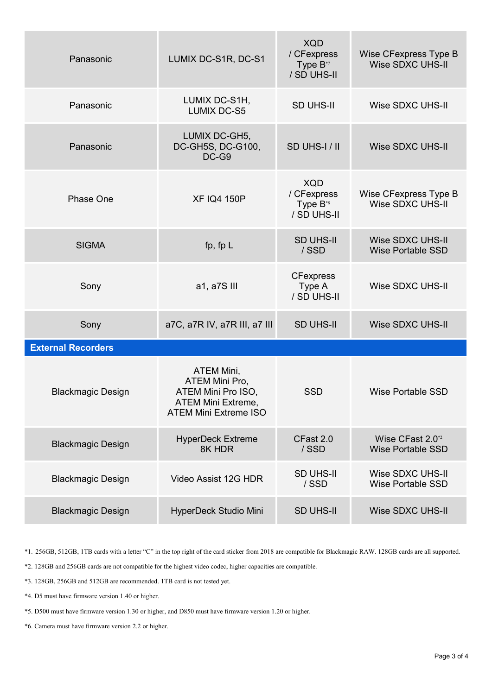| Panasonic                 | LUMIX DC-S1R, DC-S1                                                                                      | <b>XQD</b><br>/ CFexpress<br>Type B <sup>*7</sup><br>/ SD UHS-II | Wise CFexpress Type B<br><b>Wise SDXC UHS-II</b>         |
|---------------------------|----------------------------------------------------------------------------------------------------------|------------------------------------------------------------------|----------------------------------------------------------|
| Panasonic                 | LUMIX DC-S1H,<br><b>LUMIX DC-S5</b>                                                                      | <b>SD UHS-II</b>                                                 | Wise SDXC UHS-II                                         |
| Panasonic                 | LUMIX DC-GH5,<br>DC-GH5S, DC-G100,<br>DC-G9                                                              | SD UHS-I / II                                                    | <b>Wise SDXC UHS-II</b>                                  |
| <b>Phase One</b>          | <b>XF IQ4 150P</b>                                                                                       | <b>XQD</b><br>/ CFexpress<br>Type B <sup>*8</sup><br>/ SD UHS-II | Wise CFexpress Type B<br>Wise SDXC UHS-II                |
| <b>SIGMA</b>              | fp, fp $L$                                                                                               | <b>SD UHS-II</b><br>/SSD                                         | <b>Wise SDXC UHS-II</b><br><b>Wise Portable SSD</b>      |
| Sony                      | a1, a7S III                                                                                              | <b>CFexpress</b><br>Type A<br>/ SD UHS-II                        | Wise SDXC UHS-II                                         |
| Sony                      | a7C, a7R IV, a7R III, a7 III                                                                             | <b>SD UHS-II</b>                                                 | Wise SDXC UHS-II                                         |
| <b>External Recorders</b> |                                                                                                          |                                                                  |                                                          |
| <b>Blackmagic Design</b>  | ATEM Mini,<br>ATEM Mini Pro,<br>ATEM Mini Pro ISO,<br>ATEM Mini Extreme,<br><b>ATEM Mini Extreme ISO</b> | <b>SSD</b>                                                       | <b>Wise Portable SSD</b>                                 |
| <b>Blackmagic Design</b>  | <b>HyperDeck Extreme</b><br>8K HDR                                                                       | CFast 2.0<br>/SSD                                                | Wise CFast 2.0 <sup>*2</sup><br><b>Wise Portable SSD</b> |
| <b>Blackmagic Design</b>  | Video Assist 12G HDR                                                                                     | <b>SD UHS-II</b><br>/SSD                                         | Wise SDXC UHS-II<br><b>Wise Portable SSD</b>             |
| <b>Blackmagic Design</b>  | HyperDeck Studio Mini                                                                                    | <b>SD UHS-II</b>                                                 | Wise SDXC UHS-II                                         |

\*1. 256GB, 512GB, 1TB cards with a letter "C" in the top right of the card sticker from 2018 are compatible for Blackmagic RAW. 128GB cards are all supported.

\*2. 128GB and 256GB cards are not compatible for the highest video codec, higher capacities are compatible.

\*3. 128GB, 256GB and 512GB are recommended. 1TB card is not tested yet.

\*4. D5 must have firmware version 1.40 or higher.

\*5. D500 must have firmware version 1.30 or higher, and D850 must have firmware version 1.20 or higher.

\*6. Camera must have firmware version 2.2 or higher.